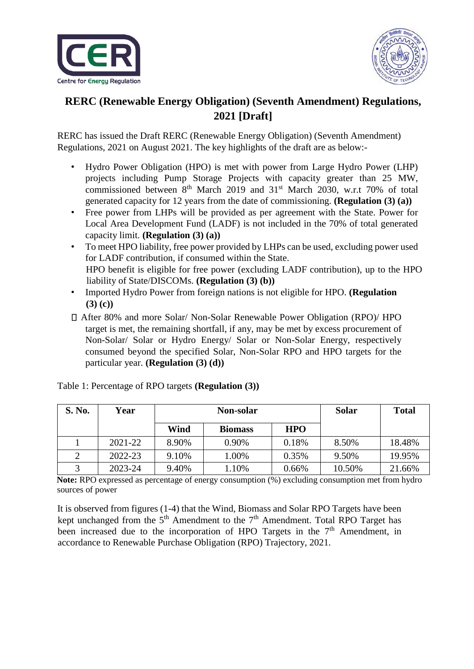



## **RERC (Renewable Energy Obligation) (Seventh Amendment) Regulations, 2021 [Draft]**

RERC has issued the Draft RERC (Renewable Energy Obligation) (Seventh Amendment) Regulations, 2021 on August 2021. The key highlights of the draft are as below:-

- Hydro Power Obligation (HPO) is met with power from Large Hydro Power (LHP) projects including Pump Storage Projects with capacity greater than 25 MW, commissioned between  $8<sup>th</sup>$  March 2019 and 31<sup>st</sup> March 2030, w.r.t 70% of total generated capacity for 12 years from the date of commissioning. **(Regulation (3) (a))**
- Free power from LHPs will be provided as per agreement with the State. Power for Local Area Development Fund (LADF) is not included in the 70% of total generated capacity limit. **(Regulation (3) (a))**
- To meet HPO liability, free power provided by LHPs can be used, excluding power used for LADF contribution, if consumed within the State. HPO benefit is eligible for free power (excluding LADF contribution), up to the HPO liability of State/DISCOMs. **(Regulation (3) (b))**
- Imported Hydro Power from foreign nations is not eligible for HPO. **(Regulation (3) (c))**
- After 80% and more Solar/ Non-Solar Renewable Power Obligation (RPO)/ HPO target is met, the remaining shortfall, if any, may be met by excess procurement of Non-Solar/ Solar or Hydro Energy/ Solar or Non-Solar Energy, respectively consumed beyond the specified Solar, Non-Solar RPO and HPO targets for the particular year. **(Regulation (3) (d))**

| S. No. | Year    | Non-solar |                |            | <b>Solar</b> | <b>Total</b> |
|--------|---------|-----------|----------------|------------|--------------|--------------|
|        |         | Wind      | <b>Biomass</b> | <b>HPO</b> |              |              |
|        | 2021-22 | 8.90%     | 0.90%          | 0.18%      | 8.50%        | 18.48%       |
|        | 2022-23 | 9.10%     | 1.00%          | 0.35%      | 9.50%        | 19.95%       |
| ⌒      | 2023-24 | 9.40%     | 1.10%          | 0.66%      | 10.50%       | 21.66%       |

Table 1: Percentage of RPO targets **(Regulation (3))**

**Note:** RPO expressed as percentage of energy consumption (%) excluding consumption met from hydro sources of power

It is observed from figures (1-4) that the Wind, Biomass and Solar RPO Targets have been kept unchanged from the  $5<sup>th</sup>$  Amendment to the  $7<sup>th</sup>$  Amendment. Total RPO Target has been increased due to the incorporation of HPO Targets in the  $7<sup>th</sup>$  Amendment, in accordance to Renewable Purchase Obligation (RPO) Trajectory, 2021.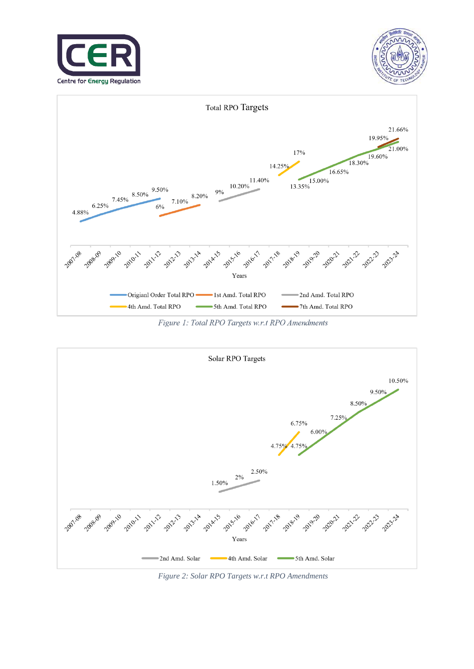





Figure 1: Total RPO Targets w.r.t RPO Amendments



*Figure 2: Solar RPO Targets w.r.t RPO Amendments*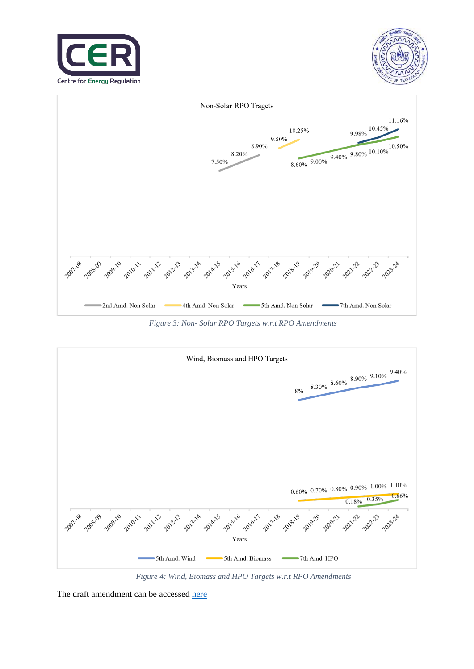





*Figure 3: Non- Solar RPO Targets w.r.t RPO Amendments*



*Figure 4: Wind, Biomass and HPO Targets w.r.t RPO Amendments* 

The draft amendment can be accessed [here](https://cer.iitk.ac.in/odf_assets/upload_files/RERC_Renewable_Energy_Obligation_Seventh_Amendment.pdf)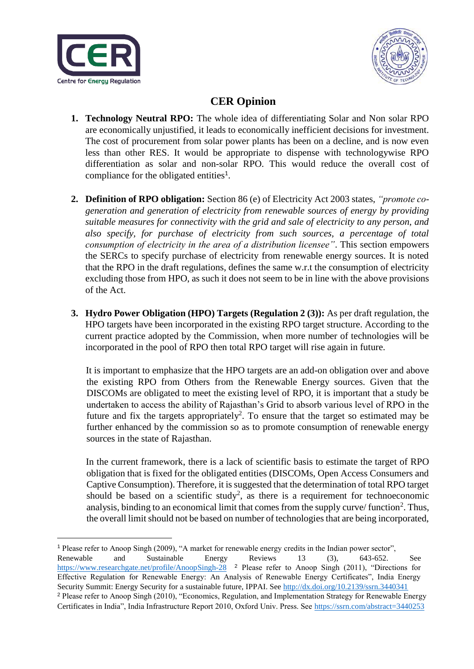

<u>.</u>



## **CER Opinion**

- **1. Technology Neutral RPO:** The whole idea of differentiating Solar and Non solar RPO are economically unjustified, it leads to economically inefficient decisions for investment. The cost of procurement from solar power plants has been on a decline, and is now even less than other RES. It would be appropriate to dispense with technologywise RPO differentiation as solar and non-solar RPO. This would reduce the overall cost of compliance for the obligated entities<sup>1</sup>.
- **2. Definition of RPO obligation:** Section 86 (e) of Electricity Act 2003 states, *"promote cogeneration and generation of electricity from renewable sources of energy by providing suitable measures for connectivity with the grid and sale of electricity to any person, and also specify, for purchase of electricity from such sources, a percentage of total consumption of electricity in the area of a distribution licensee"*. This section empowers the SERCs to specify purchase of electricity from renewable energy sources. It is noted that the RPO in the draft regulations, defines the same w.r.t the consumption of electricity excluding those from HPO, as such it does not seem to be in line with the above provisions of the Act.
- **3. Hydro Power Obligation (HPO) Targets (Regulation 2 (3)):** As per draft regulation, the HPO targets have been incorporated in the existing RPO target structure. According to the current practice adopted by the Commission, when more number of technologies will be incorporated in the pool of RPO then total RPO target will rise again in future.

It is important to emphasize that the HPO targets are an add-on obligation over and above the existing RPO from Others from the Renewable Energy sources. Given that the DISCOMs are obligated to meet the existing level of RPO, it is important that a study be undertaken to access the ability of Rajasthan's Grid to absorb various level of RPO in the future and fix the targets appropriately<sup>2</sup>. To ensure that the target so estimated may be further enhanced by the commission so as to promote consumption of renewable energy sources in the state of Rajasthan.

In the current framework, there is a lack of scientific basis to estimate the target of RPO obligation that is fixed for the obligated entities (DISCOMs, Open Access Consumers and Captive Consumption). Therefore, it is suggested that the determination of total RPO target should be based on a scientific study<sup>2</sup>, as there is a requirement for technoeconomic analysis, binding to an economical limit that comes from the supply curve/ function<sup>2</sup>. Thus, the overall limit should not be based on number of technologies that are being incorporated,

<sup>1</sup> Please refer to Anoop Singh (2009), "A market for renewable energy credits in the Indian power sector", Renewable and Sustainable Energy Reviews 13 (3), 643-652. See [https://www.researchgate.net/profile/AnoopSingh-28](https://www.researchgate.net/profile/Anoop-Singh-28) <sup>2</sup> Please refer to Anoop Singh (2011), "Directions for Effective Regulation for Renewable Energy: An Analysis of Renewable Energy Certificates", India Energy Security Summit: Energy Security for a sustainable future, IPPAI. See [http://dx.d](http://dx/)oi.org/10.2139/ssrn.3440341 <sup>2</sup> Please refer to Anoop Singh (2010), "Economics, Regulation, and Implementation Strategy for Renewable Energy Certificates in India", India Infrastructure Report 2010, Oxford Univ. Press. See<https://ssrn.com/abstract=3440253>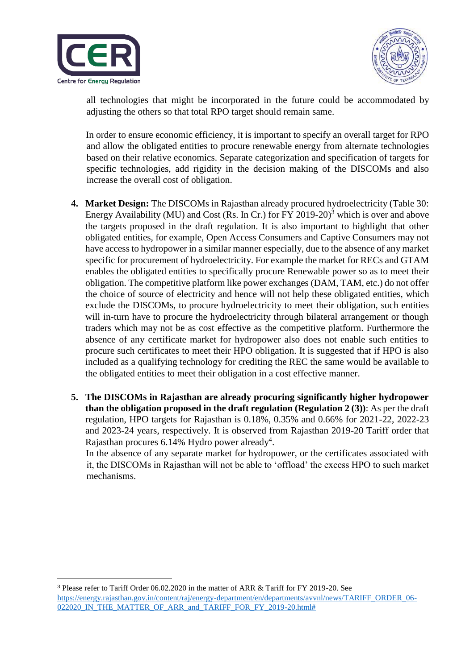

<u>.</u>



all technologies that might be incorporated in the future could be accommodated by adjusting the others so that total RPO target should remain same.

In order to ensure economic efficiency, it is important to specify an overall target for RPO and allow the obligated entities to procure renewable energy from alternate technologies based on their relative economics. Separate categorization and specification of targets for specific technologies, add rigidity in the decision making of the DISCOMs and also increase the overall cost of obligation.

- **4. Market Design:** The DISCOMs in Rajasthan already procured hydroelectricity (Table 30: Energy Availability (MU) and Cost (Rs. In Cr.) for FY 2019-20)<sup>3</sup> which is over and above the targets proposed in the draft regulation. It is also important to highlight that other obligated entities, for example, Open Access Consumers and Captive Consumers may not have access to hydropower in a similar manner especially, due to the absence of any market specific for procurement of hydroelectricity. For example the market for RECs and GTAM enables the obligated entities to specifically procure Renewable power so as to meet their obligation. The competitive platform like power exchanges (DAM, TAM, etc.) do not offer the choice of source of electricity and hence will not help these obligated entities, which exclude the DISCOMs, to procure hydroelectricity to meet their obligation, such entities will in-turn have to procure the hydroelectricity through bilateral arrangement or though traders which may not be as cost effective as the competitive platform. Furthermore the absence of any certificate market for hydropower also does not enable such entities to procure such certificates to meet their HPO obligation. It is suggested that if HPO is also included as a qualifying technology for crediting the REC the same would be available to the obligated entities to meet their obligation in a cost effective manner.
- **5. The DISCOMs in Rajasthan are already procuring significantly higher hydropower than the obligation proposed in the draft regulation (Regulation 2 (3))**: As per the draft regulation, HPO targets for Rajasthan is 0.18%, 0.35% and 0.66% for 2021-22, 2022-23 and 2023-24 years, respectively. It is observed from Rajasthan 2019-20 Tariff order that Rajasthan procures 6.14% Hydro power already<sup>4</sup>.

In the absence of any separate market for hydropower, or the certificates associated with it, the DISCOMs in Rajasthan will not be able to 'offload' the excess HPO to such market mechanisms.

<sup>3</sup> Please refer to Tariff Order 06.02.2020 in the matter of ARR & Tariff for FY 2019-20. See https://energy.rajasthan.gov.in/content/raj/energy-department/en/departments/avvnl/news/TARIFF\_ORDER\_06-022020\_IN\_THE\_MATTER\_OF\_ARR\_and\_TARIFF\_FOR\_FY\_2019-20.html#